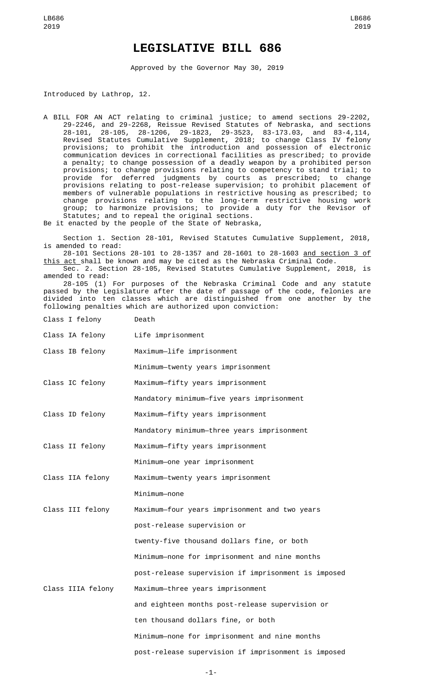## **LEGISLATIVE BILL 686**

Approved by the Governor May 30, 2019

Introduced by Lathrop, 12.

- A BILL FOR AN ACT relating to criminal justice; to amend sections 29-2202, 29-2246, and 29-2268, Reissue Revised Statutes of Nebraska, and sections 28-101, 28-105, 28-1206, 29-1823, 29-3523, 83-173.03, and 83-4,114, Revised Statutes Cumulative Supplement, 2018; to change Class IV felony provisions; to prohibit the introduction and possession of electronic communication devices in correctional facilities as prescribed; to provide a penalty; to change possession of a deadly weapon by a prohibited person provisions; to change provisions relating to competency to stand trial; to provide for deferred judgments by courts as prescribed; to change provisions relating to post-release supervision; to prohibit placement of members of vulnerable populations in restrictive housing as prescribed; to change provisions relating to the long-term restrictive housing work group; to harmonize provisions; to provide a duty for the Revisor of Statutes; and to repeal the original sections.
- Be it enacted by the people of the State of Nebraska,

Section 1. Section 28-101, Revised Statutes Cumulative Supplement, 2018, is amended to read:

28-101 Sections 28-101 to 28-1357 and 28-1601 to 28-1603 and section 3 of this act shall be known and may be cited as the Nebraska Criminal Code.

Sec. 2. Section 28-105, Revised Statutes Cumulative Supplement, 2018, is amended to read:

28-105 (1) For purposes of the Nebraska Criminal Code and any statute passed by the Legislature after the date of passage of the code, felonies are divided into ten classes which are distinguished from one another by the following penalties which are authorized upon conviction:

| Class I felony    | Death                                               |
|-------------------|-----------------------------------------------------|
| Class IA felony   | Life imprisonment                                   |
| Class IB felony   | Maximum-life imprisonment                           |
|                   | Minimum-twenty years imprisonment                   |
| Class IC felony   | Maximum-fifty years imprisonment                    |
|                   | Mandatory minimum-five years imprisonment           |
| Class ID felony   | Maximum-fifty years imprisonment                    |
|                   | Mandatory minimum-three years imprisonment          |
| Class II felony   | Maximum-fifty years imprisonment                    |
|                   | Minimum-one year imprisonment                       |
| Class IIA felony  | Maximum-twenty years imprisonment                   |
|                   | Minimum-none                                        |
| Class III felony  | Maximum-four years imprisonment and two years       |
|                   | post-release supervision or                         |
|                   | twenty-five thousand dollars fine, or both          |
|                   | Minimum-none for imprisonment and nine months       |
|                   | post-release supervision if imprisonment is imposed |
| Class IIIA felony | Maximum-three years imprisonment                    |
|                   | and eighteen months post-release supervision or     |
|                   | ten thousand dollars fine, or both                  |
|                   | Minimum-none for imprisonment and nine months       |
|                   | post-release supervision if imprisonment is imposed |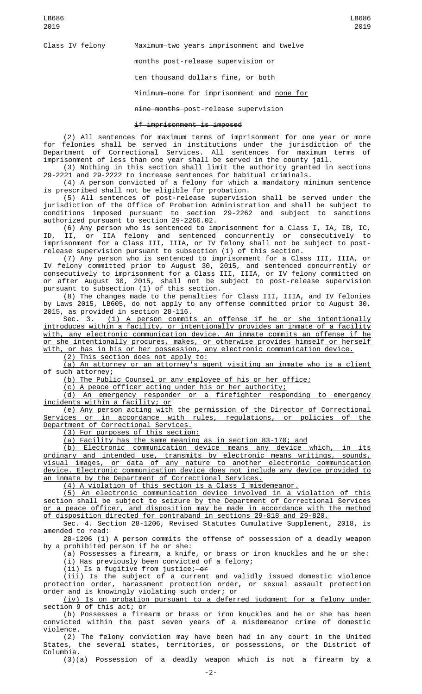Class IV felony Maximum—two years imprisonment and twelve

months post-release supervision or

ten thousand dollars fine, or both

Minimum—none for imprisonment and none for

nine months post-release supervision

## if imprisonment is imposed

(2) All sentences for maximum terms of imprisonment for one year or more for felonies shall be served in institutions under the jurisdiction of the Department of Correctional Services. All sentences for maximum terms of imprisonment of less than one year shall be served in the county jail.

(3) Nothing in this section shall limit the authority granted in sections 29-2221 and 29-2222 to increase sentences for habitual criminals.

(4) A person convicted of a felony for which a mandatory minimum sentence is prescribed shall not be eligible for probation.

(5) All sentences of post-release supervision shall be served under the jurisdiction of the Office of Probation Administration and shall be subject to conditions imposed pursuant to section 29-2262 and subject to sanctions authorized pursuant to section 29-2266.02.

(6) Any person who is sentenced to imprisonment for a Class I, IA, IB, IC, ID, II, or IIA felony and sentenced concurrently or consecutively to imprisonment for a Class III, IIIA, or IV felony shall not be subject to postrelease supervision pursuant to subsection (1) of this section.

(7) Any person who is sentenced to imprisonment for a Class III, IIIA, or IV felony committed prior to August 30, 2015, and sentenced concurrently or consecutively to imprisonment for a Class III, IIIA, or IV felony committed on or after August 30, 2015, shall not be subject to post-release supervision pursuant to subsection (1) of this section.

(8) The changes made to the penalties for Class III, IIIA, and IV felonies by Laws 2015, LB605, do not apply to any offense committed prior to August 30, 2015, as provided in section  $28-116$ .<br>Sec. 3.  $(1)$  A person commit

(1) A person commits an offense if he or she intentionally introduces within a facility, or intentionally provides an inmate of a facility with, any electronic communication device. An inmate commits an offense if he or she intentionally procures, makes, or otherwise provides himself or herself with, or has in his or her possession, any electronic communication device.

(2) This section does not apply to:

(a) An attorney or an attorney's agent visiting an inmate who is a client of such attorney;

(b) The Public Counsel or any employee of his or her office;

(c) A peace officer acting under his or her authority;

(d) An emergency responder or a firefighter responding to emergency incidents within a facility; or

(e) Any person acting with the permission of the Director of Correctional Services or in accordance with rules, regulations, or policies of the Department of Correctional Services.

(3) For purposes of this section:

(a) Facility has the same meaning as in section 83-170; and

(b) Electronic communication device means any device which, in its ordinary and intended use, transmits by electronic means writings, sounds, visual images, or data of any nature to another electronic communication device. Electronic communication device does not include any device provided to an inmate by the Department of Correctional Services.

(4) A violation of this section is a Class I misdemeanor.

(5) An electronic communication device involved in a violation of this section shall be subject to seizure by the Department of Correctional Services or a peace officer, and disposition may be made in accordance with the method of disposition directed for contraband in sections 29-818 and 29-820.

Sec. 4. Section 28-1206, Revised Statutes Cumulative Supplement, 2018, is amended to read:

28-1206 (1) A person commits the offense of possession of a deadly weapon by a prohibited person if he or she:

(a) Possesses a firearm, a knife, or brass or iron knuckles and he or she: (i) Has previously been convicted of a felony;

 $(i)$  Is a fugitive from justice;  $-0f$ 

(iii) Is the subject of a current and validly issued domestic violence protection order, harassment protection order, or sexual assault protection order and is knowingly violating such order; or

(iv) Is on probation pursuant to a deferred judgment for a felony under section 9 of this act; or

(b) Possesses a firearm or brass or iron knuckles and he or she has been convicted within the past seven years of a misdemeanor crime of domestic violence.

(2) The felony conviction may have been had in any court in the United States, the several states, territories, or possessions, or the District of Columbia.

(3)(a) Possession of a deadly weapon which is not a firearm by a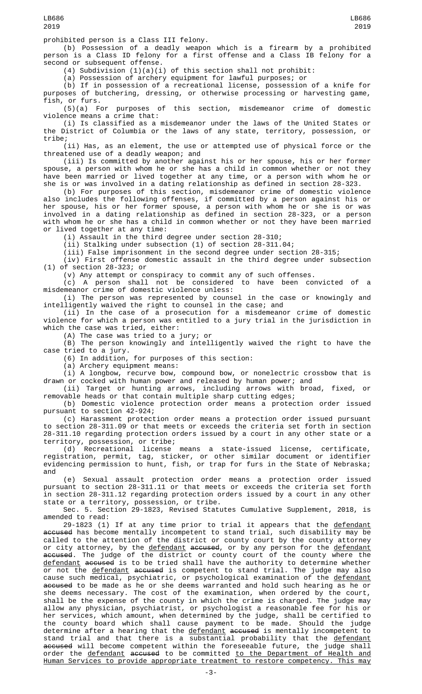prohibited person is a Class III felony.

(b) Possession of a deadly weapon which is a firearm by a prohibited person is a Class ID felony for a first offense and a Class IB felony for a second or subsequent offense.

(4) Subdivision (1)(a)(i) of this section shall not prohibit:

(a) Possession of archery equipment for lawful purposes; or

(b) If in possession of a recreational license, possession of a knife for purposes of butchering, dressing, or otherwise processing or harvesting game, fish, or furs.

(5)(a) For purposes of this section, misdemeanor crime of domestic violence means a crime that:

(i) Is classified as a misdemeanor under the laws of the United States or the District of Columbia or the laws of any state, territory, possession, or tribe;

(ii) Has, as an element, the use or attempted use of physical force or the threatened use of a deadly weapon; and

(iii) Is committed by another against his or her spouse, his or her former spouse, a person with whom he or she has a child in common whether or not they have been married or lived together at any time, or a person with whom he or she is or was involved in a dating relationship as defined in section 28-323.

(b) For purposes of this section, misdemeanor crime of domestic violence also includes the following offenses, if committed by a person against his or her spouse, his or her former spouse, a person with whom he or she is or was involved in a dating relationship as defined in section 28-323, or a person with whom he or she has a child in common whether or not they have been married or lived together at any time:

(i) Assault in the third degree under section 28-310;

(ii) Stalking under subsection (1) of section 28-311.04;

(iii) False imprisonment in the second degree under section 28-315;

 $(iv)$  First offense domestic assault in the third degree under subsection (1) of section 28-323; or

(v) Any attempt or conspiracy to commit any of such offenses.

(c) A person shall not be considered to have been convicted of a misdemeanor crime of domestic violence unless:

(i) The person was represented by counsel in the case or knowingly and intelligently waived the right to counsel in the case; and

(ii) In the case of a prosecution for a misdemeanor crime of domestic violence for which a person was entitled to a jury trial in the jurisdiction in which the case was tried, either:

(A) The case was tried to a jury; or

(B) The person knowingly and intelligently waived the right to have the case tried to a jury.

(6) In addition, for purposes of this section:

(a) Archery equipment means:

(i) A longbow, recurve bow, compound bow, or nonelectric crossbow that is drawn or cocked with human power and released by human power; and

(ii) Target or hunting arrows, including arrows with broad, fixed, or removable heads or that contain multiple sharp cutting edges;

(b) Domestic violence protection order means a protection order issued pursuant to section 42-924;

(c) Harassment protection order means a protection order issued pursuant to section 28-311.09 or that meets or exceeds the criteria set forth in section 28-311.10 regarding protection orders issued by a court in any other state or a territory, possession, or tribe;

(d) Recreational license means a state-issued license, certificate, registration, permit, tag, sticker, or other similar document or identifier evidencing permission to hunt, fish, or trap for furs in the State of Nebraska; and

(e) Sexual assault protection order means a protection order issued pursuant to section 28-311.11 or that meets or exceeds the criteria set forth in section 28-311.12 regarding protection orders issued by a court in any other state or a territory, possession, or tribe.

Sec. 5. Section 29-1823, Revised Statutes Cumulative Supplement, 2018, is amended to read:

29-1823 (1) If at any time prior to trial it appears that the defendant accused has become mentally incompetent to stand trial, such disability may be called to the attention of the district or county court by the county attorney or city attorney, by the <u>defendant</u> <del>accused</del>, or by any person for the <u>defendant</u> accused. The judge of the district or county court of the county where the defendant accused is to be tried shall have the authority to determine whether or not the <u>defendant</u> <del>accused</del> is competent to stand trial. The judge may also cause such medical, psychiatric, or psychological examination of the <u>defendant</u> accused to be made as he or she deems warranted and hold such hearing as he or she deems necessary. The cost of the examination, when ordered by the court, shall be the expense of the county in which the crime is charged. The judge may allow any physician, psychiatrist, or psychologist a reasonable fee for his or her services, which amount, when determined by the judge, shall be certified to the county board which shall cause payment to be made. Should the judge determine after a hearing that the defendant accused is mentally incompetent to stand trial and that there is a substantial probability that the <u>defendant</u> accused will become competent within the foreseeable future, the judge shall order the <u>defendant</u> <del>accused</del> to be committed <u>to the Department of Health and</u> Human Services to provide appropriate treatment to restore competency. This may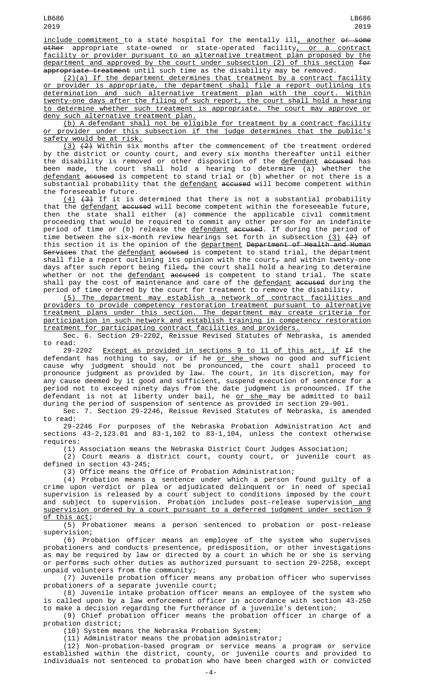include commitment to a state hospital for the mentally ill, another or some other appropriate state-owned or state-operated facility<u>, or a contract</u> facility or provider pursuant to an alternative treatment plan proposed by the department and approved by the court under subsection (2) of this section for appropriate treatment until such time as the disability may be removed.

(2)(a) If the department determines that treatment by a contract facility or provider is appropriate, the department shall file a report outlining its determination and such alternative treatment plan with the court. Within twenty-one days after the filing of such report, the court shall hold a hearing to determine whether such treatment is appropriate. The court may approve or deny such alternative treatment plan.

(b) A defendant shall not be eligible for treatment by a contract facility provider under this subsection if the judge determines that the public's safety would be at risk.

<u>(3)</u>  $(2)$  Within six months after the commencement of the treatment ordered by the district or county court, and every six months thereafter until either the disability is removed or other disposition of the <u>defendant</u> <del>accused</del> has been made, the court shall hold a hearing to determine (a) whether the <u>defendant</u> <del>accused</del> is competent to stand trial or (b) whether or not there is a substantial probability that the <u>defendant</u> <del>accused</del> will become competent within the foreseeable future.

 $(4)$   $(3)$  If it is determined that there is not a substantial probability that the <u>defendant</u> <del>accused</del> will become competent within the foreseeable future, then the state shall either (a) commence the applicable civil commitment proceeding that would be required to commit any other person for an indefinite period of time or (b) release the <u>defendant</u> <del>accused</del>. If during the period of time between the six-month review hearings set forth in subsection <u>(3)</u>  $(2)$  of this section it is the opinion of the <u>department</u> <del>Department of Health and Human</del> Services that the defendant accused is competent to stand trial, the department shall file a report outlining its opinion with the court $_\tau$  and within twenty-one days after such report being filed $_\tau$  the court shall hold a hearing to determine whether or not the defendant accused is competent to stand trial. The state shall pay the cost of maintenance and care of the <u>defendant</u> <del>accused</del> during the period of time ordered by the court for treatment to remove the disability.

(5) The department may establish a network of contract facilities and providers to provide competency restoration treatment pursuant to alternative treatment plans under this section. The department may create criteria for participation in such network and establish training in competency restoration treatment for participating contract facilities and providers.

Sec. 6. Section 29-2202, Reissue Revised Statutes of Nebraska, is amended to read:

29-2202 Except as provided in sections 9 to 11 of this act, if If the defendant has nothing to say, or if he or she shows no good and sufficient cause why judgment should not be pronounced, the court shall proceed to pronounce judgment as provided by law. The court, in its discretion, may for any cause deemed by it good and sufficient, suspend execution of sentence for a period not to exceed ninety days from the date judgment is pronounced. If the defendant is not at liberty under bail, he <u>or she </u>may be admitted to bail during the period of suspension of sentence as provided in section 29-901.

Sec. 7. Section 29-2246, Reissue Revised Statutes of Nebraska, is amended to read:

29-2246 For purposes of the Nebraska Probation Administration Act and sections 43-2,123.01 and 83-1,102 to 83-1,104, unless the context otherwise requires:

(1) Association means the Nebraska District Court Judges Association;

(2) Court means a district court, county court, or juvenile court as defined in section 43-245;

(3) Office means the Office of Probation Administration;

(4) Probation means a sentence under which a person found guilty of a crime upon verdict or plea or adjudicated delinquent or in need of special supervision is released by a court subject to conditions imposed by the court and subject to supervision. Probation includes post-release supervision\_<u>and</u> supervision ordered by a court pursuant to a deferred judgment under section 9 of this act;

(5) Probationer means a person sentenced to probation or post-release supervision;

(6) Probation officer means an employee of the system who supervises probationers and conducts presentence, predisposition, or other investigations as may be required by law or directed by a court in which he or she is serving or performs such other duties as authorized pursuant to section 29-2258, except unpaid volunteers from the community;

(7) Juvenile probation officer means any probation officer who supervises probationers of a separate juvenile court;

(8) Juvenile intake probation officer means an employee of the system who is called upon by a law enforcement officer in accordance with section 43-250 to make a decision regarding the furtherance of a juvenile's detention;

(9) Chief probation officer means the probation officer in charge of a probation district;

(10) System means the Nebraska Probation System;

(11) Administrator means the probation administrator;

(12) Non-probation-based program or service means a program or service established within the district, county, or juvenile courts and provided to individuals not sentenced to probation who have been charged with or convicted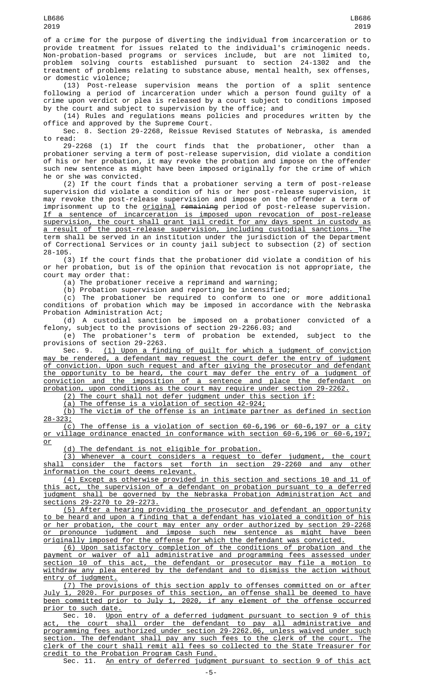of a crime for the purpose of diverting the individual from incarceration or to provide treatment for issues related to the individual's criminogenic needs. Non-probation-based programs or services include, but are not limited to, problem solving courts established pursuant to section 24-1302 and the treatment of problems relating to substance abuse, mental health, sex offenses, or domestic violence;

(13) Post-release supervision means the portion of a split sentence following a period of incarceration under which a person found guilty of a crime upon verdict or plea is released by a court subject to conditions imposed by the court and subject to supervision by the office; and

(14) Rules and regulations means policies and procedures written by the office and approved by the Supreme Court.

Sec. 8. Section 29-2268, Reissue Revised Statutes of Nebraska, is amended to read:

29-2268 (1) If the court finds that the probationer, other than a probationer serving a term of post-release supervision, did violate a condition of his or her probation, it may revoke the probation and impose on the offender such new sentence as might have been imposed originally for the crime of which he or she was convicted.

(2) If the court finds that a probationer serving a term of post-release supervision did violate a condition of his or her post-release supervision, it may revoke the post-release supervision and impose on the offender a term of imprisonment up to the <u>original</u> <del>remaining</del> period of post-release supervision. If a sentence of incarceration is imposed upon revocation of post-release supervision, the court shall grant jail credit for any days spent in custody as a result of the post-release supervision, including custodial sanctions. The term shall be served in an institution under the jurisdiction of the Department of Correctional Services or in county jail subject to subsection (2) of section 28-105.

(3) If the court finds that the probationer did violate a condition of his or her probation, but is of the opinion that revocation is not appropriate, the court may order that:

(a) The probationer receive a reprimand and warning;

(b) Probation supervision and reporting be intensified;

(c) The probationer be required to conform to one or more additional conditions of probation which may be imposed in accordance with the Nebraska Probation Administration Act;

(d) A custodial sanction be imposed on a probationer convicted of a felony, subject to the provisions of section 29-2266.03; and

(e) The probationer's term of probation be extended, subject to the provisions of section 29-2263.

Sec. 9. (1) Upon a finding of guilt for which a judgment of conviction may be rendered, a defendant may request the court defer the entry of judgment of conviction. Upon such request and after giving the prosecutor and defendant the opportunity to be heard, the court may defer the entry of a judgment of conviction and the imposition of a sentence and place the defendant on probation, upon conditions as the court may require under section 29-2262.

(2) The court shall not defer judgment under this section if:

(a) The offense is a violation of section 42-924;

(b) The victim of the offense is an intimate partner as defined in section 28-323;

(c) The offense is a violation of section 60-6,196 or 60-6,197 or a city or village ordinance enacted in conformance with section 60-6,196 or 60-6,197; or

(d) The defendant is not eligible for probation.

(3) Whenever a court considers a request to defer judgment, the court shall consider the factors set forth in section 29-2260 and any other information the court deems relevant.

(4) Except as otherwise provided in this section and sections 10 and 11 of this act, the supervision of a defendant on probation pursuant to a deferred judgment shall be governed by the Nebraska Probation Administration Act and sections 29-2270 to 29-2273.

(5) After a hearing providing the prosecutor and defendant an opportunity to be heard and upon a finding that a defendant has violated a condition of his or her probation, the court may enter any order authorized by section 29-2268 or pronounce judgment and impose such new sentence as might have been originally imposed for the offense for which the defendant was convicted.

(6) Upon satisfactory completion of the conditions of probation and the payment or waiver of all administrative and programming fees assessed under section 10 of this act, the defendant or prosecutor may file a motion to withdraw any plea entered by the defendant and to dismiss the action without entry of judgment.

(7) The provisions of this section apply to offenses committed on or after July 1, 2020. For purposes of this section, an offense shall be deemed to have been committed prior to July 1, 2020, if any element of the offense occurred

prior to such date.<br>Sec. 10. Upon Sec. 10. Upon entry of a deferred judgment pursuant to section 9 of this act, the court shall order the defendant to pay all administrative and programming fees authorized under section 29-2262.06, unless waived under such section. The defendant shall pay any such fees to the clerk of the court. The clerk of the court shall remit all fees so collected to the State Treasurer for credit to the Probation Program Cash Fund.

Sec. 11. An entry of deferred judgment pursuant to section 9 of this act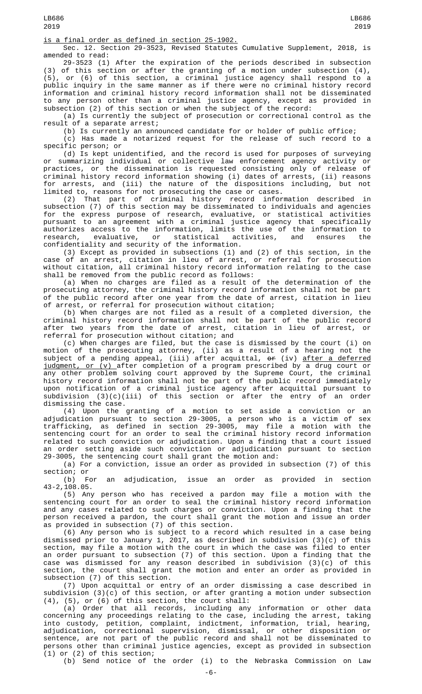is a final order as defined in section 25-1902.

Sec. 12. Section 29-3523, Revised Statutes Cumulative Supplement, 2018, is amended to read:

29-3523 (1) After the expiration of the periods described in subsection (3) of this section or after the granting of a motion under subsection (4), (5), or (6) of this section, a criminal justice agency shall respond to a public inquiry in the same manner as if there were no criminal history record information and criminal history record information shall not be disseminated to any person other than a criminal justice agency, except as provided in subsection (2) of this section or when the subject of the record:

(a) Is currently the subject of prosecution or correctional control as the result of a separate arrest;

(b) Is currently an announced candidate for or holder of public office;

(c) Has made a notarized request for the release of such record to a specific person; or

(d) Is kept unidentified, and the record is used for purposes of surveying or summarizing individual or collective law enforcement agency activity or practices, or the dissemination is requested consisting only of release of criminal history record information showing (i) dates of arrests, (ii) reasons for arrests, and (iii) the nature of the dispositions including, but not limited to, reasons for not prosecuting the case or cases.

(2) That part of criminal history record information described in subsection (7) of this section may be disseminated to individuals and agencies for the express purpose of research, evaluative, or statistical activities pursuant to an agreement with a criminal justice agency that specifically authorizes access to the information, limits the use of the information to research, evaluative, or statistical activities, and ensures the confidentiality and security of the information.

(3) Except as provided in subsections (1) and (2) of this section, in the case of an arrest, citation in lieu of arrest, or referral for prosecution without citation, all criminal history record information relating to the case shall be removed from the public record as follows:

(a) When no charges are filed as a result of the determination of the prosecuting attorney, the criminal history record information shall not be part of the public record after one year from the date of arrest, citation in lieu of arrest, or referral for prosecution without citation;

(b) When charges are not filed as a result of a completed diversion, the criminal history record information shall not be part of the public record after two years from the date of arrest, citation in lieu of arrest, or referral for prosecution without citation; and

(c) When charges are filed, but the case is dismissed by the court (i) on motion of the prosecuting attorney, (ii) as a result of a hearing not the subject of a pending appeal, (iii) after acquittal, <del>or</del> (iv) <u>after a deferred</u> judgment, or (v) after completion of a program prescribed by a drug court or any other problem solving court approved by the Supreme Court, the criminal history record information shall not be part of the public record immediately upon notification of a criminal justice agency after acquittal pursuant to subdivision (3)(c)(iii) of this section or after the entry of an order dismissing the case.

(4) Upon the granting of a motion to set aside a conviction or an adjudication pursuant to section 29-3005, a person who is a victim of sex trafficking, as defined in section 29-3005, may file a motion with the sentencing court for an order to seal the criminal history record information related to such conviction or adjudication. Upon a finding that a court issued an order setting aside such conviction or adjudication pursuant to section 29-3005, the sentencing court shall grant the motion and:

(a) For a conviction, issue an order as provided in subsection (7) of this section; or<br>(b) For

(b) For an adjudication, issue an order as provided in section 43-2,108.05.

(5) Any person who has received a pardon may file a motion with the sentencing court for an order to seal the criminal history record information and any cases related to such charges or conviction. Upon a finding that the person received a pardon, the court shall grant the motion and issue an order as provided in subsection (7) of this section.

(6) Any person who is subject to a record which resulted in a case being dismissed prior to January 1, 2017, as described in subdivision (3)(c) of this section, may file a motion with the court in which the case was filed to enter an order pursuant to subsection (7) of this section. Upon a finding that the case was dismissed for any reason described in subdivision (3)(c) of this section, the court shall grant the motion and enter an order as provided in subsection (7) of this section.

(7) Upon acquittal or entry of an order dismissing a case described in subdivision (3)(c) of this section, or after granting a motion under subsection (4), (5), or (6) of this section, the court shall:

(a) Order that all records, including any information or other data concerning any proceedings relating to the case, including the arrest, taking into custody, petition, complaint, indictment, information, trial, hearing, adjudication, correctional supervision, dismissal, or other disposition or sentence, are not part of the public record and shall not be disseminated to persons other than criminal justice agencies, except as provided in subsection (1) or (2) of this section;

(b) Send notice of the order (i) to the Nebraska Commission on Law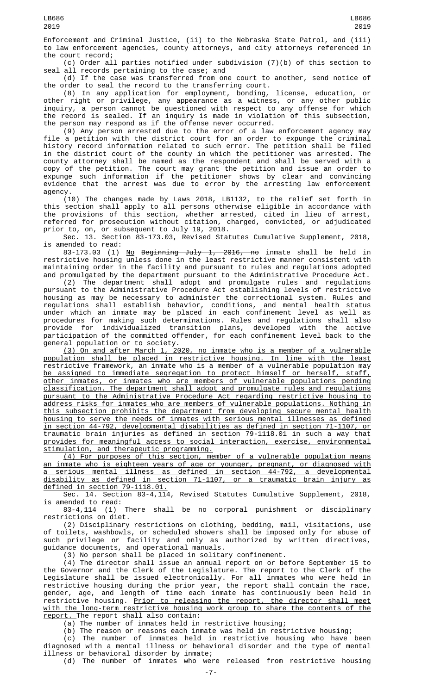Enforcement and Criminal Justice, (ii) to the Nebraska State Patrol, and (iii) to law enforcement agencies, county attorneys, and city attorneys referenced in the court record;

(c) Order all parties notified under subdivision (7)(b) of this section to seal all records pertaining to the case; and

(d) If the case was transferred from one court to another, send notice of the order to seal the record to the transferring court.

(8) In any application for employment, bonding, license, education, or other right or privilege, any appearance as a witness, or any other public inquiry, a person cannot be questioned with respect to any offense for which the record is sealed. If an inquiry is made in violation of this subsection, the person may respond as if the offense never occurred.

(9) Any person arrested due to the error of a law enforcement agency may file a petition with the district court for an order to expunge the criminal history record information related to such error. The petition shall be filed in the district court of the county in which the petitioner was arrested. The county attorney shall be named as the respondent and shall be served with a copy of the petition. The court may grant the petition and issue an order to expunge such information if the petitioner shows by clear and convincing evidence that the arrest was due to error by the arresting law enforcement agency.

(10) The changes made by Laws 2018, LB1132, to the relief set forth in this section shall apply to all persons otherwise eligible in accordance with the provisions of this section, whether arrested, cited in lieu of arrest, referred for prosecution without citation, charged, convicted, or adjudicated prior to, on, or subsequent to July 19, 2018.

Sec. 13. Section 83-173.03, Revised Statutes Cumulative Supplement, 2018, is amended to read:

83-173.03 (1) <u>No</u> <del>Beginning July 1, 2016, no</del> inmate shall be held in restrictive housing unless done in the least restrictive manner consistent with maintaining order in the facility and pursuant to rules and regulations adopted and promulgated by the department pursuant to the Administrative Procedure Act.

(2) The department shall adopt and promulgate rules and regulations pursuant to the Administrative Procedure Act establishing levels of restrictive housing as may be necessary to administer the correctional system. Rules and regulations shall establish behavior, conditions, and mental health status under which an inmate may be placed in each confinement level as well as procedures for making such determinations. Rules and regulations shall also provide for individualized transition plans, developed with the active participation of the committed offender, for each confinement level back to the general population or to society.

(3) On and after March 1, 2020, no inmate who is a member of a vulnerable population shall be placed in restrictive housing. In line with the least restrictive framework, an inmate who is a member of a vulnerable population may be assigned to immediate segregation to protect himself or herself, staff, other inmates, or inmates who are members of vulnerable populations pending classification. The department shall adopt and promulgate rules and regulations pursuant to the Administrative Procedure Act regarding restrictive housing to address risks for inmates who are members of vulnerable populations. Nothing in this subsection prohibits the department from developing secure mental health housing to serve the needs of inmates with serious mental illnesses as defined in section 44-792, developmental disabilities as defined in section 71-1107, or traumatic brain injuries as defined in section 79-1118.01 in such a way that provides for meaningful access to social interaction, exercise, environmental stimulation, and therapeutic programming.

(4) For purposes of this section, member of a vulnerable population means an inmate who is eighteen years of age or younger, pregnant, or diagnosed with a serious mental illness as defined in section 44-792, a developmental disability as defined in section 71-1107, or a traumatic brain injury as defined in section 79-1118.01.

Sec. 14. Section 83-4,114, Revised Statutes Cumulative Supplement, 2018,

is amended to read:<br>83-4,114 (1) There shall be no corporal punishment or disciplinary restrictions on diet.

(2) Disciplinary restrictions on clothing, bedding, mail, visitations, use of toilets, washbowls, or scheduled showers shall be imposed only for abuse of such privilege or facility and only as authorized by written directives, guidance documents, and operational manuals.

(3) No person shall be placed in solitary confinement.

 $(4)$  The director shall issue an annual report on or before September 15 to the Governor and the Clerk of the Legislature. The report to the Clerk of the Legislature shall be issued electronically. For all inmates who were held in restrictive housing during the prior year, the report shall contain the race, gender, age, and length of time each inmate has continuously been held in restrictive housing. Prior to releasing the report, the director shall meet with the long-term restrictive housing work group to share the contents of the report. The report shall also contain:

(a) The number of inmates held in restrictive housing;

(b) The reason or reasons each inmate was held in restrictive housing;

(c) The number of inmates held in restrictive housing who have been diagnosed with a mental illness or behavioral disorder and the type of mental illness or behavioral disorder by inmate;

(d) The number of inmates who were released from restrictive housing